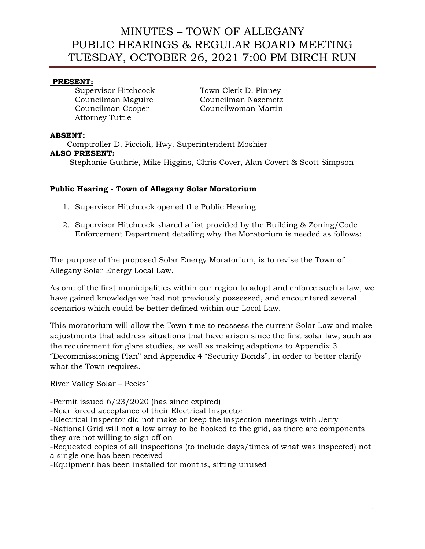## **PRESENT:**

Attorney Tuttle

Supervisor Hitchcock Town Clerk D. Pinney Councilman Maguire Councilman Nazemetz Councilman Cooper Councilwoman Martin

## **ABSENT:**

 Comptroller D. Piccioli, Hwy. Superintendent Moshier **ALSO PRESENT:** Stephanie Guthrie, Mike Higgins, Chris Cover, Alan Covert & Scott Simpson

## **Public Hearing - Town of Allegany Solar Moratorium**

- 1. Supervisor Hitchcock opened the Public Hearing
- 2. Supervisor Hitchcock shared a list provided by the Building & Zoning/Code Enforcement Department detailing why the Moratorium is needed as follows:

The purpose of the proposed Solar Energy Moratorium, is to revise the Town of Allegany Solar Energy Local Law.

As one of the first municipalities within our region to adopt and enforce such a law, we have gained knowledge we had not previously possessed, and encountered several scenarios which could be better defined within our Local Law.

This moratorium will allow the Town time to reassess the current Solar Law and make adjustments that address situations that have arisen since the first solar law, such as the requirement for glare studies, as well as making adaptions to Appendix 3 "Decommissioning Plan" and Appendix 4 "Security Bonds", in order to better clarify what the Town requires.

### River Valley Solar – Pecks'

-Permit issued 6/23/2020 (has since expired)

-Near forced acceptance of their Electrical Inspector

-Electrical Inspector did not make or keep the inspection meetings with Jerry

-National Grid will not allow array to be hooked to the grid, as there are components they are not willing to sign off on

-Requested copies of all inspections (to include days/times of what was inspected) not a single one has been received

-Equipment has been installed for months, sitting unused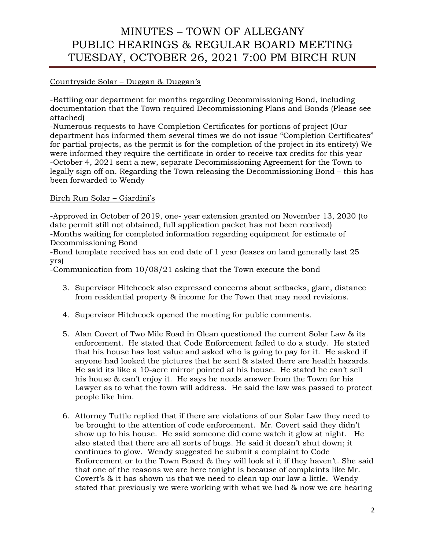## Countryside Solar – Duggan & Duggan's

-Battling our department for months regarding Decommissioning Bond, including documentation that the Town required Decommissioning Plans and Bonds (Please see attached)

-Numerous requests to have Completion Certificates for portions of project (Our department has informed them several times we do not issue "Completion Certificates" for partial projects, as the permit is for the completion of the project in its entirety) We were informed they require the certificate in order to receive tax credits for this year -October 4, 2021 sent a new, separate Decommissioning Agreement for the Town to legally sign off on. Regarding the Town releasing the Decommissioning Bond – this has been forwarded to Wendy

## Birch Run Solar – Giardini's

-Approved in October of 2019, one- year extension granted on November 13, 2020 (to date permit still not obtained, full application packet has not been received) -Months waiting for completed information regarding equipment for estimate of Decommissioning Bond

-Bond template received has an end date of 1 year (leases on land generally last 25 yrs)

-Communication from 10/08/21 asking that the Town execute the bond

- 3. Supervisor Hitchcock also expressed concerns about setbacks, glare, distance from residential property & income for the Town that may need revisions.
- 4. Supervisor Hitchcock opened the meeting for public comments.
- 5. Alan Covert of Two Mile Road in Olean questioned the current Solar Law & its enforcement. He stated that Code Enforcement failed to do a study. He stated that his house has lost value and asked who is going to pay for it. He asked if anyone had looked the pictures that he sent & stated there are health hazards. He said its like a 10-acre mirror pointed at his house. He stated he can't sell his house & can't enjoy it. He says he needs answer from the Town for his Lawyer as to what the town will address. He said the law was passed to protect people like him.
- 6. Attorney Tuttle replied that if there are violations of our Solar Law they need to be brought to the attention of code enforcement. Mr. Covert said they didn't show up to his house. He said someone did come watch it glow at night. He also stated that there are all sorts of bugs. He said it doesn't shut down; it continues to glow. Wendy suggested he submit a complaint to Code Enforcement or to the Town Board & they will look at it if they haven't. She said that one of the reasons we are here tonight is because of complaints like Mr. Covert's & it has shown us that we need to clean up our law a little. Wendy stated that previously we were working with what we had & now we are hearing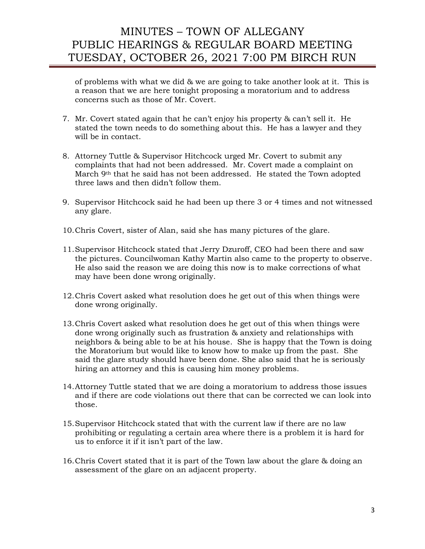of problems with what we did & we are going to take another look at it. This is a reason that we are here tonight proposing a moratorium and to address concerns such as those of Mr. Covert.

- 7. Mr. Covert stated again that he can't enjoy his property & can't sell it. He stated the town needs to do something about this. He has a lawyer and they will be in contact.
- 8. Attorney Tuttle & Supervisor Hitchcock urged Mr. Covert to submit any complaints that had not been addressed. Mr. Covert made a complaint on March 9<sup>th</sup> that he said has not been addressed. He stated the Town adopted three laws and then didn't follow them.
- 9. Supervisor Hitchcock said he had been up there 3 or 4 times and not witnessed any glare.
- 10.Chris Covert, sister of Alan, said she has many pictures of the glare.
- 11.Supervisor Hitchcock stated that Jerry Dzuroff, CEO had been there and saw the pictures. Councilwoman Kathy Martin also came to the property to observe. He also said the reason we are doing this now is to make corrections of what may have been done wrong originally.
- 12.Chris Covert asked what resolution does he get out of this when things were done wrong originally.
- 13.Chris Covert asked what resolution does he get out of this when things were done wrong originally such as frustration & anxiety and relationships with neighbors & being able to be at his house. She is happy that the Town is doing the Moratorium but would like to know how to make up from the past. She said the glare study should have been done. She also said that he is seriously hiring an attorney and this is causing him money problems.
- 14.Attorney Tuttle stated that we are doing a moratorium to address those issues and if there are code violations out there that can be corrected we can look into those.
- 15.Supervisor Hitchcock stated that with the current law if there are no law prohibiting or regulating a certain area where there is a problem it is hard for us to enforce it if it isn't part of the law.
- 16.Chris Covert stated that it is part of the Town law about the glare & doing an assessment of the glare on an adjacent property.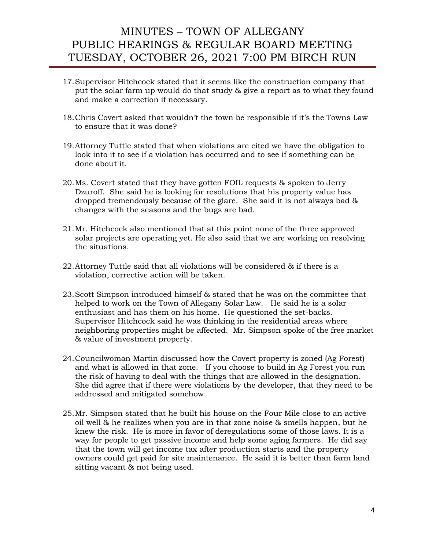- 17.Supervisor Hitchcock stated that it seems like the construction company that put the solar farm up would do that study & give a report as to what they found and make a correction if necessary.
- 18.Chris Covert asked that wouldn't the town be responsible if it's the Towns Law to ensure that it was done?
- 19.Attorney Tuttle stated that when violations are cited we have the obligation to look into it to see if a violation has occurred and to see if something can be done about it.
- 20.Ms. Covert stated that they have gotten FOIL requests & spoken to Jerry Dzuroff. She said he is looking for resolutions that his property value has dropped tremendously because of the glare. She said it is not always bad & changes with the seasons and the bugs are bad.
- 21.Mr. Hitchcock also mentioned that at this point none of the three approved solar projects are operating yet. He also said that we are working on resolving the situations.
- 22.Attorney Tuttle said that all violations will be considered & if there is a violation, corrective action will be taken.
- 23.Scott Simpson introduced himself & stated that he was on the committee that helped to work on the Town of Allegany Solar Law. He said he is a solar enthusiast and has them on his home. He questioned the set-backs. Supervisor Hitchcock said he was thinking in the residential areas where neighboring properties might be affected. Mr. Simpson spoke of the free market & value of investment property.
- 24.Councilwoman Martin discussed how the Covert property is zoned (Ag Forest) and what is allowed in that zone. If you choose to build in Ag Forest you run the risk of having to deal with the things that are allowed in the designation. She did agree that if there were violations by the developer, that they need to be addressed and mitigated somehow.
- 25.Mr. Simpson stated that he built his house on the Four Mile close to an active oil well & he realizes when you are in that zone noise & smells happen, but he knew the risk. He is more in favor of deregulations some of those laws. It is a way for people to get passive income and help some aging farmers. He did say that the town will get income tax after production starts and the property owners could get paid for site maintenance. He said it is better than farm land sitting vacant & not being used.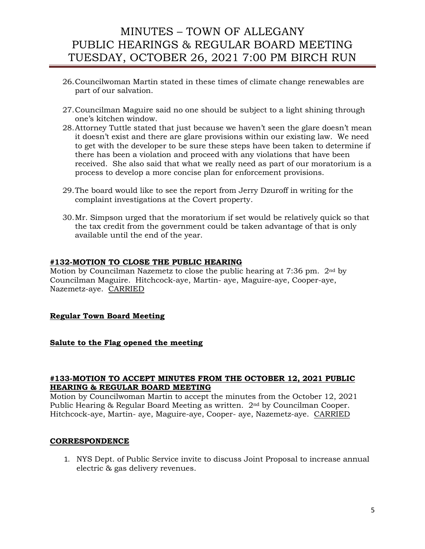- 26.Councilwoman Martin stated in these times of climate change renewables are part of our salvation.
- 27.Councilman Maguire said no one should be subject to a light shining through one's kitchen window.
- 28.Attorney Tuttle stated that just because we haven't seen the glare doesn't mean it doesn't exist and there are glare provisions within our existing law. We need to get with the developer to be sure these steps have been taken to determine if there has been a violation and proceed with any violations that have been received. She also said that what we really need as part of our moratorium is a process to develop a more concise plan for enforcement provisions.
- 29.The board would like to see the report from Jerry Dzuroff in writing for the complaint investigations at the Covert property.
- 30.Mr. Simpson urged that the moratorium if set would be relatively quick so that the tax credit from the government could be taken advantage of that is only available until the end of the year.

### **#132-MOTION TO CLOSE THE PUBLIC HEARING**

Motion by Councilman Nazemetz to close the public hearing at 7:36 pm.  $2<sup>nd</sup>$  by Councilman Maguire. Hitchcock-aye, Martin- aye, Maguire-aye, Cooper-aye, Nazemetz-aye. CARRIED

## **Regular Town Board Meeting**

### **Salute to the Flag opened the meeting**

#### **#133-MOTION TO ACCEPT MINUTES FROM THE OCTOBER 12, 2021 PUBLIC HEARING & REGULAR BOARD MEETING**

Motion by Councilwoman Martin to accept the minutes from the October 12, 2021 Public Hearing & Regular Board Meeting as written. 2nd by Councilman Cooper. Hitchcock-aye, Martin- aye, Maguire-aye, Cooper- aye, Nazemetz-aye. CARRIED

### **CORRESPONDENCE**

1. NYS Dept. of Public Service invite to discuss Joint Proposal to increase annual electric & gas delivery revenues.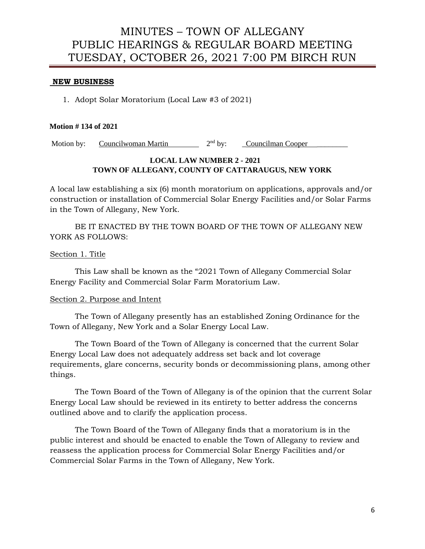#### **NEW BUSINESS**

1. Adopt Solar Moratorium (Local Law #3 of 2021)

#### **Motion # 134 of 2021**

Motion by: Councilwoman Martin 2<sup>nd</sup> by: Councilman Cooper

## **LOCAL LAW NUMBER 2 - 2021 TOWN OF ALLEGANY, COUNTY OF CATTARAUGUS, NEW YORK**

A local law establishing a six (6) month moratorium on applications, approvals and/or construction or installation of Commercial Solar Energy Facilities and/or Solar Farms in the Town of Allegany, New York.

BE IT ENACTED BY THE TOWN BOARD OF THE TOWN OF ALLEGANY NEW YORK AS FOLLOWS:

#### Section 1. Title

This Law shall be known as the "2021 Town of Allegany Commercial Solar Energy Facility and Commercial Solar Farm Moratorium Law.

#### Section 2. Purpose and Intent

The Town of Allegany presently has an established Zoning Ordinance for the Town of Allegany, New York and a Solar Energy Local Law.

The Town Board of the Town of Allegany is concerned that the current Solar Energy Local Law does not adequately address set back and lot coverage requirements, glare concerns, security bonds or decommissioning plans, among other things.

The Town Board of the Town of Allegany is of the opinion that the current Solar Energy Local Law should be reviewed in its entirety to better address the concerns outlined above and to clarify the application process.

The Town Board of the Town of Allegany finds that a moratorium is in the public interest and should be enacted to enable the Town of Allegany to review and reassess the application process for Commercial Solar Energy Facilities and/or Commercial Solar Farms in the Town of Allegany, New York.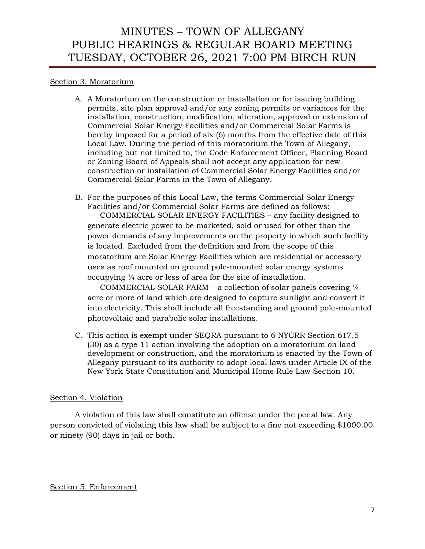### Section 3. Moratorium

- A. A Moratorium on the construction or installation or for issuing building permits, site plan approval and/or any zoning permits or variances for the installation, construction, modification, alteration, approval or extension of Commercial Solar Energy Facilities and/or Commercial Solar Farms is hereby imposed for a period of six (6) months from the effective date of this Local Law. During the period of this moratorium the Town of Allegany, including but not limited to, the Code Enforcement Officer, Planning Board or Zoning Board of Appeals shall not accept any application for new construction or installation of Commercial Solar Energy Facilities and/or Commercial Solar Farms in the Town of Allegany.
- B. For the purposes of this Local Law, the terms Commercial Solar Energy Facilities and/or Commercial Solar Farms are defined as follows: COMMERCIAL SOLAR ENERGY FACILITIES – any facility designed to generate electric power to be marketed, sold or used for other than the power demands of any improvements on the property in which such facility is located. Excluded from the definition and from the scope of this moratorium are Solar Energy Facilities which are residential or accessory uses as roof mounted on ground pole-mounted solar energy systems occupying ¼ acre or less of area for the site of installation.

COMMERCIAL SOLAR FARM – a collection of solar panels covering  $\frac{1}{4}$ acre or more of land which are designed to capture sunlight and convert it into electricity. This shall include all freestanding and ground pole-mounted photovoltaic and parabolic solar installations.

C. This action is exempt under SEQRA pursuant to 6 NYCRR Section 617.5 (30) as a type 11 action involving the adoption on a moratorium on land development or construction, and the moratorium is enacted by the Town of Allegany pursuant to its authority to adopt local laws under Article IX of the New York State Constitution and Municipal Home Rule Law Section 10.

### Section 4. Violation

A violation of this law shall constitute an offense under the penal law. Any person convicted of violating this law shall be subject to a fine not exceeding \$1000.00 or ninety (90) days in jail or both.

### Section 5. Enforcement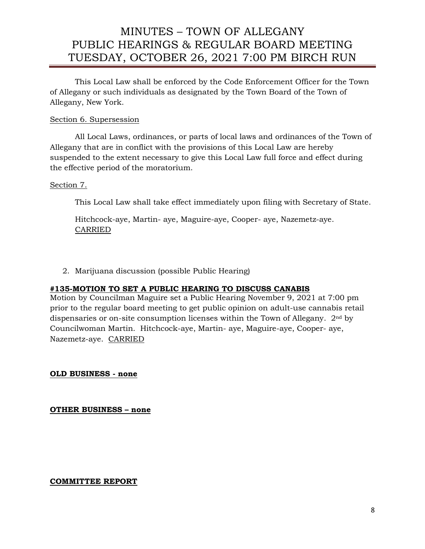This Local Law shall be enforced by the Code Enforcement Officer for the Town of Allegany or such individuals as designated by the Town Board of the Town of Allegany, New York.

### Section 6. Supersession

All Local Laws, ordinances, or parts of local laws and ordinances of the Town of Allegany that are in conflict with the provisions of this Local Law are hereby suspended to the extent necessary to give this Local Law full force and effect during the effective period of the moratorium.

## Section 7.

This Local Law shall take effect immediately upon filing with Secretary of State.

Hitchcock-aye, Martin- aye, Maguire-aye, Cooper- aye, Nazemetz-aye. CARRIED

2. Marijuana discussion (possible Public Hearing)

## **#135-MOTION TO SET A PUBLIC HEARING TO DISCUSS CANABIS**

Motion by Councilman Maguire set a Public Hearing November 9, 2021 at 7:00 pm prior to the regular board meeting to get public opinion on adult-use cannabis retail dispensaries or on-site consumption licenses within the Town of Allegany. 2nd by Councilwoman Martin. Hitchcock-aye, Martin- aye, Maguire-aye, Cooper- aye, Nazemetz-aye. CARRIED

**OLD BUSINESS - none**

**OTHER BUSINESS – none**

**COMMITTEE REPORT**